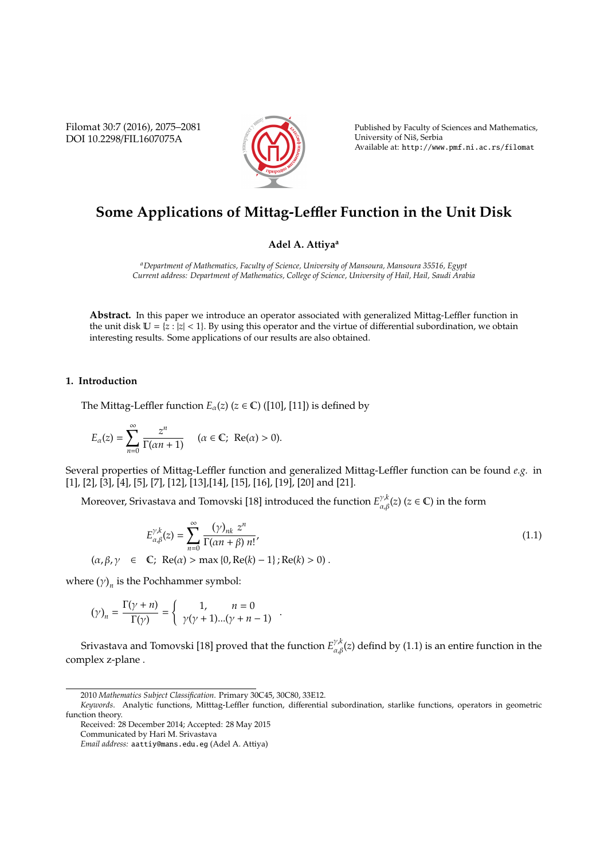Filomat 30:7 (2016), 2075–2081 DOI 10.2298/FIL1607075A



Published by Faculty of Sciences and Mathematics, University of Nis, Serbia ˇ Available at: http://www.pmf.ni.ac.rs/filomat

# **Some Applications of Mittag-Le**ffl**er Function in the Unit Disk**

## **Adel A. Attiya<sup>a</sup>**

*<sup>a</sup>Department of Mathematics, Faculty of Science, University of Mansoura, Mansoura 35516, Egypt Current address: Department of Mathematics, College of Science, University of Hail, Hail, Saudi Arabia*

**Abstract.** In this paper we introduce an operator associated with generalized Mittag-Leffler function in the unit disk  $\mathbb{U} = \{z : |z| < 1\}$ . By using this operator and the virtue of differential subordination, we obtain interesting results. Some applications of our results are also obtained.

#### **1. Introduction**

The Mittag-Leffler function  $E_{\alpha}(z)$  ( $z \in \mathbb{C}$ ) ([10], [11]) is defined by

$$
E_{\alpha}(z) = \sum_{n=0}^{\infty} \frac{z^n}{\Gamma(\alpha n + 1)} \quad (\alpha \in \mathbb{C}; \ \operatorname{Re}(\alpha) > 0).
$$

Several properties of Mittag-Leffler function and generalized Mittag-Leffler function can be found *e.g.* in [1], [2], [3], [4], [5], [7], [12], [13],[14], [15], [16], [19], [20] and [21].

Moreover, Srivastava and Tomovski [18] introduced the function  $E_{\alpha,\beta}^{\gamma,k}(z)$  ( $z\in\mathbb{C}$ ) in the form

$$
E_{\alpha,\beta}^{\gamma,k}(z) = \sum_{n=0}^{\infty} \frac{(\gamma)_{nk} z^n}{\Gamma(\alpha n + \beta) n!},
$$
  
( $\alpha, \beta, \gamma \in \mathbb{C}$ ; Re( $\alpha$ ) > max {0, Re( $k$ ) – 1} ; Re( $k$ ) > 0). (1.1)

where  $(\gamma)_n$  is the Pochhammer symbol:

$$
(\gamma)_n = \frac{\Gamma(\gamma + n)}{\Gamma(\gamma)} = \begin{cases} 1, & n = 0 \\ \gamma(\gamma + 1)...(\gamma + n - 1) \end{cases}.
$$

Srivastava and Tomovski [18] proved that the function  $E_{\alpha,\beta}^{\gamma,k}(z)$  defind by (1.1) is an entire function in the complex z-plane .

<sup>2010</sup> *Mathematics Subject Classification*. Primary 30C45, 30C80, 33E12.

*Keywords*. Analytic functions, Mitttag-Leffler function, differential subordination, starlike functions, operators in geometric function theory.

Received: 28 December 2014; Accepted: 28 May 2015

Communicated by Hari M. Srivastava

*Email address:* aattiy@mans.edu.eg (Adel A. Attiya)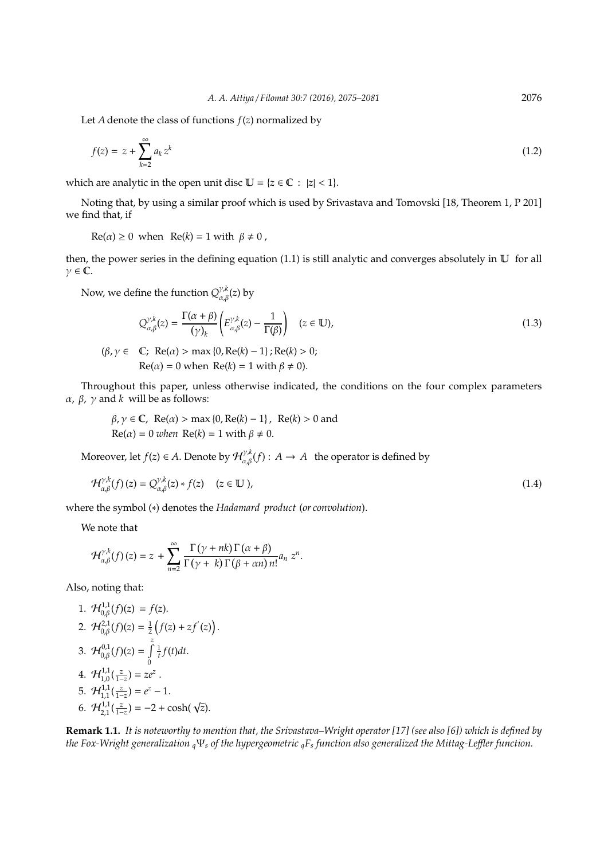Let *A* denote the class of functions *f*(*z*) normalized by

$$
f(z) = z + \sum_{k=2}^{\infty} a_k z^k
$$
 (1.2)

which are analytic in the open unit disc  $U = \{z \in \mathbb{C} : |z| < 1\}.$ 

Noting that, by using a similar proof which is used by Srivastava and Tomovski [18, Theorem 1, P 201] we find that, if

 $Re(\alpha) \ge 0$  when  $Re(k) = 1$  with  $\beta \ne 0$ ,

then, the power series in the defining equation (1.1) is still analytic and converges absolutely in  $\mathbb U$  for all  $\gamma \in \mathbb{C}$ .

Now, we define the function  $Q^{\gamma, k}_{\alpha, \beta}(z)$  by

$$
Q_{\alpha,\beta}^{\gamma,k}(z) = \frac{\Gamma(\alpha+\beta)}{(\gamma)_k} \left( E_{\alpha,\beta}^{\gamma,k}(z) - \frac{1}{\Gamma(\beta)} \right) \quad (z \in \mathbb{U}), \tag{1.3}
$$

$$
(\beta, \gamma \in \mathbb{C}; \ \text{Re}(\alpha) > \max\{0, \text{Re}(k) - 1\}; \text{Re}(k) > 0; \\ \text{Re}(\alpha) = 0 \text{ when } \text{Re}(k) = 1 \text{ with } \beta \neq 0).
$$

Throughout this paper, unless otherwise indicated, the conditions on the four complex parameters α, β, γ and *k* will be as follows:

$$
\beta, \gamma \in \mathbb{C}, \text{ Re}(\alpha) > \max\{0, \text{Re}(k) - 1\}, \text{ Re}(k) > 0 \text{ and } \text{Re}(\alpha) = 0 \text{ when } \text{Re}(k) = 1 \text{ with } \beta \neq 0.
$$

Moreover, let  $f(z) \in A$ . Denote by  $\mathcal{H}_{\alpha,\beta}^{\gamma,k}(f): A \to A$  the operator is defined by

$$
\mathcal{H}_{\alpha,\beta}^{\gamma,k}(f)(z) = Q_{\alpha,\beta}^{\gamma,k}(z) * f(z) \quad (z \in \mathbb{U}), \tag{1.4}
$$

where the symbol (∗) denotes the *Hadamard product* (*or convolution*).

We note that

$$
\mathcal{H}_{\alpha,\beta}^{\gamma,k}(f)(z)=z+\sum_{n=2}^{\infty}\frac{\Gamma(\gamma+nk)\Gamma(\alpha+\beta)}{\Gamma(\gamma+k)\Gamma(\beta+\alpha n)\,n!}a_n\,z^n.
$$

Also, noting that:

1. 
$$
\mathcal{H}_{0,\beta}^{1,1}(f)(z) = f(z).
$$
  
\n2.  $\mathcal{H}_{0,\beta}^{2,1}(f)(z) = \frac{1}{2} (f(z) + zf'(z)).$   
\n3.  $\mathcal{H}_{0,\beta}^{0,1}(f)(z) = \int_{0}^{z} \frac{1}{t} f(t) dt.$   
\n4.  $\mathcal{H}_{1,0}^{1,1}(\frac{z}{1-z}) = ze^{z}.$   
\n5.  $\mathcal{H}_{1,1}^{1,1}(\frac{z}{1-z}) = e^{z} - 1.$   
\n6.  $\mathcal{H}_{2,1}^{1,1}(\frac{z}{1-z}) = -2 + \cosh(\sqrt{z}).$ 

**Remark 1.1.** *It is noteworthy to mention that, the Srivastava–Wright operator [17] (see also [6]) which is defined by the Fox-Wright generalization <sup>q</sup>*Ψ*<sup>s</sup> of the hypergeometric <sup>q</sup>F<sup>s</sup> function also generalized the Mittag-Le*ffl*er function.*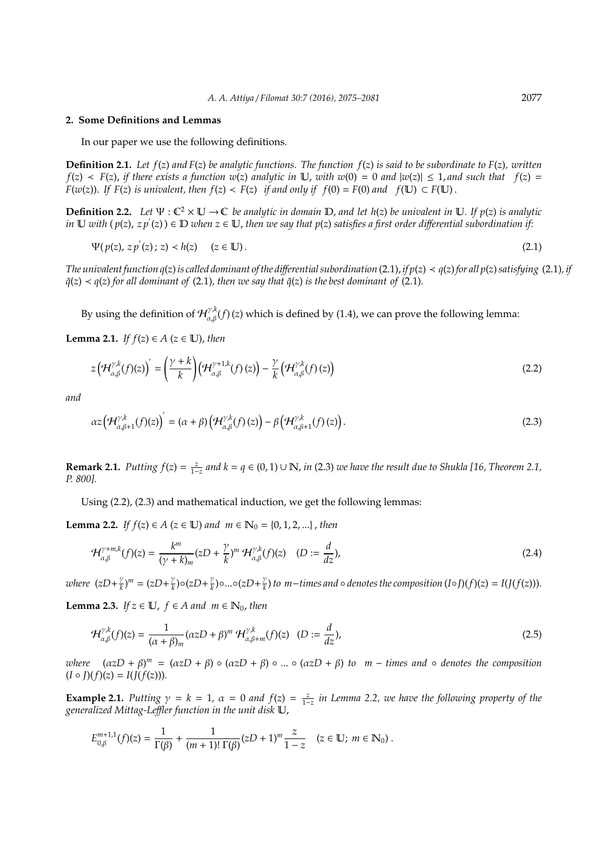#### **2. Some Definitions and Lemmas**

In our paper we use the following definitions.

**Definition 2.1.** *Let f*(*z*) *and F*(*z*) *be analytic functions. The function f*(*z*) *is said to be subordinate to F*(*z*)*, written*  $f(z) \leq F(z)$ , *if there exists a function w*(*z*) *analytic in* U, *with w*(0) = 0 *and*  $|w(z)| \leq 1$ , *and such that*  $f(z)$  = *F*(*w*(*z*)). *If F*(*z*) *is univalent, then*  $f(z) < F(z)$  *if and only if*  $f(0) = F(0)$  *and*  $f(\mathbb{U}) \subset F(\mathbb{U})$ .

**Definition 2.2.** Let  $\Psi : \mathbb{C}^2 \times \mathbb{U} \to \mathbb{C}$  *be analytic in domain*  $\mathbb{D}$ *, and let h(z) be univalent in*  $\mathbb{U}$ *. If p(z) is analytic*  $i$ n  $\Bbb U$  *with*  $(p(z), z p'(z)) \in \Bbb D$  *when*  $z \in \Bbb U$ *, then we say that*  $p(z)$  *satisfies a first order differential subordination if:* 

$$
\Psi(p(z), z p'(z); z) < h(z) \quad (z \in \mathbb{U}).\tag{2.1}
$$

*The univalent function*  $q(z)$  *is called dominant of the differential subordination* (2.1), *if*  $p(z) \lt q(z)$  for all  $p(z)$  satisfying (2.1), *if*  $\tilde{q}(z) \prec q(z)$  *for all dominant of* (2.1)*, then we say that*  $\tilde{q}(z)$  *is the best dominant of* (2.1)*.* 

By using the definition of  $\mathcal{H}_{\alpha,\beta}^{\gamma,k}(f)(z)$  which is defined by (1.4), we can prove the following lemma:

**Lemma 2.1.** *If*  $f(z) \in A$  ( $z \in \mathbb{U}$ ), *then* 

$$
z\left(\mathcal{H}_{\alpha,\beta}^{\gamma,k}(f)(z)\right)' = \left(\frac{\gamma + k}{k}\right)\left(\mathcal{H}_{\alpha,\beta}^{\gamma+1,k}(f)(z)\right) - \frac{\gamma}{k}\left(\mathcal{H}_{\alpha,\beta}^{\gamma,k}(f)(z)\right) \tag{2.2}
$$

*and*

$$
\alpha z \left( \mathcal{H}_{\alpha,\beta+1}^{\gamma,k}(f)(z) \right)' = (\alpha + \beta) \left( \mathcal{H}_{\alpha,\beta}^{\gamma,k}(f)(z) \right) - \beta \left( \mathcal{H}_{\alpha,\beta+1}^{\gamma,k}(f)(z) \right). \tag{2.3}
$$

**Remark 2.1.** *Putting*  $f(z) = \frac{z}{1-z}$  *and*  $k = q \in (0, 1) \cup \mathbb{N}$ , *in* (2.3) *we have the result due to Shukla* [16, Theorem 2.1, *P. 800].*

Using (2.2), (2.3) and mathematical induction, we get the following lemmas:

**Lemma 2.2.** *If f*(*z*) ∈ *A* (*z* ∈ **U**) *and m* ∈  $\mathbb{N}_0$  = {0, 1, 2, ...} , *then* 

$$
\mathcal{H}_{\alpha,\beta}^{\gamma+m,k}(f)(z) = \frac{k^m}{(\gamma+k)_m} (zD + \frac{\gamma}{k})^m \, \mathcal{H}_{\alpha,\beta}^{\gamma,k}(f)(z) \quad (D := \frac{d}{dz}), \tag{2.4}
$$

*where*  $(zD + \frac{\gamma}{k})$  $(\frac{\gamma}{k})^m = (zD + \frac{\gamma}{k})^m$  $\frac{\gamma}{k}$ ) $\circ$ (*zD*+ $\frac{\gamma}{k}$  $\frac{\gamma}{k}$ ) $\circ ... \circ (zD + \frac{\gamma}{k})$ *<u><i>k*</u>) to m−times and  $\circ$  *denotes the composition* (*I*∘*J*)(*f*)(*z*) = *I*(*J*(*f*(*z*))).

**Lemma 2.3.** *If*  $z \in \mathbb{U}$ ,  $f \in A$  and  $m \in \mathbb{N}_0$ , then

$$
\mathcal{H}_{\alpha,\beta}^{\gamma,k}(f)(z) = \frac{1}{(\alpha+\beta)_m} (\alpha z D + \beta)^m \mathcal{H}_{\alpha,\beta+m}^{\gamma,k}(f)(z) \quad (D := \frac{d}{dz}),\tag{2.5}
$$

 $where \quad (\alpha zD + \beta)^m = (\alpha zD + \beta) \circ (\alpha zD + \beta) \circ ... \circ (\alpha zD + \beta)$  *to*  $m -$  *times and*  $\circ$  *denotes the composition*  $(I \circ J)(f)(z) = I(J(f(z))).$ 

**Example 2.1.** Putting  $\gamma = k = 1$ ,  $\alpha = 0$  and  $f(z) = \frac{z}{1-z}$  in Lemma 2.2, we have the following property of the *generalized Mittag-Le*ffl*er function in the unit disk* U,

$$
E_{0,\beta}^{m+1,1}(f)(z) = \frac{1}{\Gamma(\beta)} + \frac{1}{(m+1)!\,\Gamma(\beta)}(zD+1)^m \frac{z}{1-z} \quad (z \in \mathbb{U};\, m \in \mathbb{N}_0) \; .
$$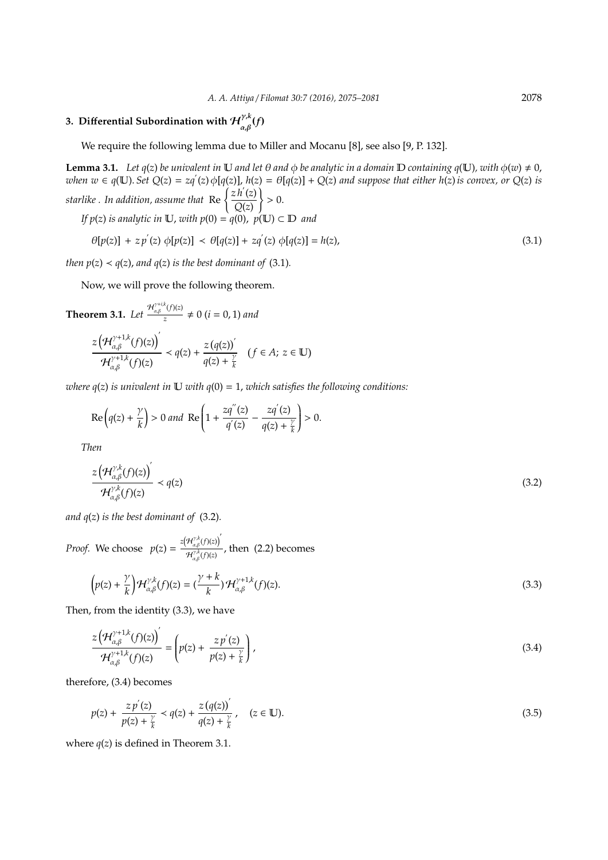#### **3. Differential Subordination with**  $\mathcal{H}_{\lambda,\varrho}^{\gamma,k}$  $\int_{\alpha,\beta}^{\gamma,\kappa}(f)$

We require the following lemma due to Miller and Mocanu [8], see also [9, P. 132].

**Lemma 3.1.** *Let*  $q(z)$  *be univalent in* **U** *and let*  $\theta$  *and*  $\phi$  *be analytic in a domain* **D** *containing*  $q(\mathbf{U})$ *, with*  $\phi(w) \neq 0$ *,* when  $w \in q(\mathbb{U})$ . Set  $Q(z) = zq'(z) \phi[q(z)]$ ,  $h(z) = \theta[q(z)] + Q(z)$  and suppose that either  $h(z)$  is convex, or  $Q(z)$  is starlike . In addition, assume that  $\operatorname{Re} \left\{ \frac{zh'(z)}{Q(z)} \right\}$ *Q*(*z*) )  $> 0.$ *If*  $p(z)$  *is analytic in*  $\mathbb{U}$ , *with*  $p(0) = q(0)$ ,  $p(\mathbb{U}) \subset \mathbb{D}$  *and* 

$$
\theta[p(z)] + z p'(z) \phi[p(z)] \prec \theta[q(z)] + z q'(z) \phi[q(z)] = h(z), \tag{3.1}
$$

*then*  $p(z) < q(z)$ , and  $q(z)$  *is the best dominant of* (3.1).

Now, we will prove the following theorem.

**Theorem 3.1.** Let 
$$
\frac{\mathcal{H}_{\alpha,\beta}^{\gamma+i,k}(f)(z)}{z} \neq 0
$$
  $(i = 0, 1)$  and  

$$
\frac{z(\mathcal{H}_{\alpha,\beta}^{\gamma+1,k}(f)(z))'}{\mathcal{H}_{\alpha,\beta}^{\gamma+1,k}(f)(z)} < q(z) + \frac{z(q(z))'}{q(z) + \frac{\gamma}{k}} \quad (f \in A; z \in \mathbb{U})
$$

*where*  $q(z)$  *is univalent in*  $\mathbb U$  *with*  $q(0) = 1$ *, which satisfies the following conditions:* 

$$
\operatorname{Re}\left(q(z)+\frac{\gamma}{k}\right)>0 \text{ and } \operatorname{Re}\left(1+\frac{zq''(z)}{q'(z)}-\frac{zq'(z)}{q(z)+\frac{\gamma}{k}}\right)>0.
$$

*Then*

$$
\frac{z\left(\mathcal{H}_{\alpha,\beta}^{\gamma,k}(f)(z)\right)^{'}}{\mathcal{H}_{\alpha,\beta}^{\gamma,k}(f)(z)} \prec q(z)
$$
\n(3.2)

*and q*(*z*) *is the best dominant of* (3.2)*.*

*Proof.* We choose  $p(z) = \frac{z(\mathcal{H}_{\alpha,\beta}^{\gamma,k}(f)(z))}{d\mathcal{O}(k)}$  $\frac{H_{\alpha,\beta}^{\gamma,k}(f)(z)}{H_{\alpha,\beta}^{\gamma,k}(f)(z)}$ , then (2.2) becomes

$$
\left(p(z) + \frac{\gamma}{k}\right) \mathcal{H}_{\alpha,\beta}^{\gamma,k}(f)(z) = \left(\frac{\gamma + k}{k}\right) \mathcal{H}_{\alpha,\beta}^{\gamma+1,k}(f)(z).
$$
\n(3.3)

Then, from the identity (3.3), we have

$$
\frac{z\left(\mathcal{H}_{\alpha,\beta}^{\gamma+1,k}(f)(z)\right)^{'}}{\mathcal{H}_{\alpha,\beta}^{\gamma+1,k}(f)(z)} = \left(p(z) + \frac{z\,p^{'}(z)}{p(z) + \frac{\gamma}{k}}\right),\tag{3.4}
$$

therefore, (3.4) becomes

$$
p(z) + \frac{z p'(z)}{p(z) + \frac{\gamma}{k}} < q(z) + \frac{z (q(z))'}{q(z) + \frac{\gamma}{k}}, \quad (z \in \mathbb{U}).
$$
\n(3.5)

where  $q(z)$  is defined in Theorem 3.1.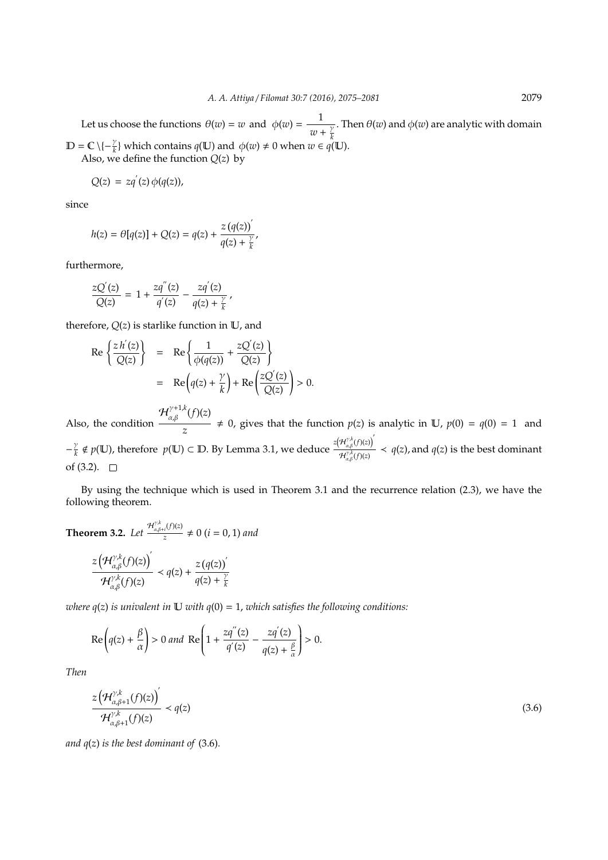Let us choose the functions  $\theta(w) = w$  and  $\phi(w) = \frac{1}{w}$  $w + \frac{\gamma}{k}$ *k* . Then  $\theta(w)$  and  $\phi(w)$  are analytic with domain  $\mathbb{D} = \mathbb{C} \setminus \{-\frac{\gamma}{k}\}\$  which contains  $q(\mathbb{U})$  and  $\phi(w) \neq 0$  when  $w \in q(\mathbb{U})$ . Also, we define the function  $Q(z)$  by

 $Q(z) = zq'(z) \phi(q(z)),$ 

since

$$
h(z)=\theta[q(z)]+Q(z)=q(z)+\frac{z\left(q(z)\right)^{'} }{q(z)+\frac{\gamma}{k}},
$$

furthermore,

$$
\frac{zQ'(z)}{Q(z)} = 1 + \frac{zq''(z)}{q'(z)} - \frac{zq'(z)}{q(z) + \frac{\gamma}{k}},
$$

therefore,  $Q(z)$  is starlike function in  $U$ , and

$$
\begin{array}{rcl}\n\operatorname{Re}\left\{\frac{zh'(z)}{Q(z)}\right\} & = & \operatorname{Re}\left\{\frac{1}{\phi(q(z))} + \frac{zQ'(z)}{Q(z)}\right\} \\
& = & \operatorname{Re}\left(q(z) + \frac{\gamma}{k}\right) + \operatorname{Re}\left(\frac{zQ'(z)}{Q(z)}\right) > 0.\n\end{array}
$$

Also, the condition  $\mathcal{H}_{\alpha,\beta}^{\gamma+1,k}(f)(z)$  $\frac{0}{z}$   $\neq$  0, gives that the function *p*(*z*) is analytic in U, *p*(0) = *q*(0) = 1 and  $-\frac{\gamma}{\tau}$  $\frac{p}{k} \notin p(\mathbb{U})$ , therefore  $p(\mathbb{U}) \subset \mathbb{D}$ . By Lemma 3.1, we deduce  $\frac{z(\mathcal{H}_{\alpha,\beta}^{\gamma,k}(f)(z))}{\mathcal{H}^{\gamma,k}(f)(z)}$  $\frac{H_{\alpha,\beta}(f)(z)}{H_{\alpha,\beta}^{r,k}(f)(z)} \prec q(z)$ , and  $q(z)$  is the best dominant of  $(3.2)$ .  $\square$ 

By using the technique which is used in Theorem 3.1 and the recurrence relation (2.3), we have the following theorem.

**Theorem 3.2.** *Let*  $\frac{\mathcal{H}_{\alpha,\beta+i}^{\gamma,k}(f)(z)}{z}$  $\frac{d}{dz}$   $\neq 0$  (*i* = 0, 1) and

$$
\frac{z\left(\mathcal{H}_{\alpha,\beta}^{\gamma,k}(f)(z)\right)^{'}}{\mathcal{H}_{\alpha,\beta}^{\gamma,k}(f)(z)} \prec q(z) + \frac{z\left(q(z)\right)^{'}}{q(z) + \frac{\gamma}{k}}
$$

*where*  $q(z)$  *is univalent in*  $\mathbb U$  *with*  $q(0) = 1$ *, which satisfies the following conditions:* 

$$
\operatorname{Re}\left(q(z)+\frac{\beta}{\alpha}\right)>0\text{ and }\operatorname{Re}\left(1+\frac{zq''(z)}{q'(z)}-\frac{zq'(z)}{q(z)+\frac{\beta}{\alpha}}\right)>0.
$$

*Then*

$$
\frac{z\left(\mathcal{H}_{\alpha,\beta+1}^{\gamma,k}(f)(z)\right)^{'}}{\mathcal{H}_{\alpha,\beta+1}^{\gamma,k}(f)(z)} \prec q(z)
$$
\n(3.6)

*and q*(*z*) *is the best dominant of* (3.6)*.*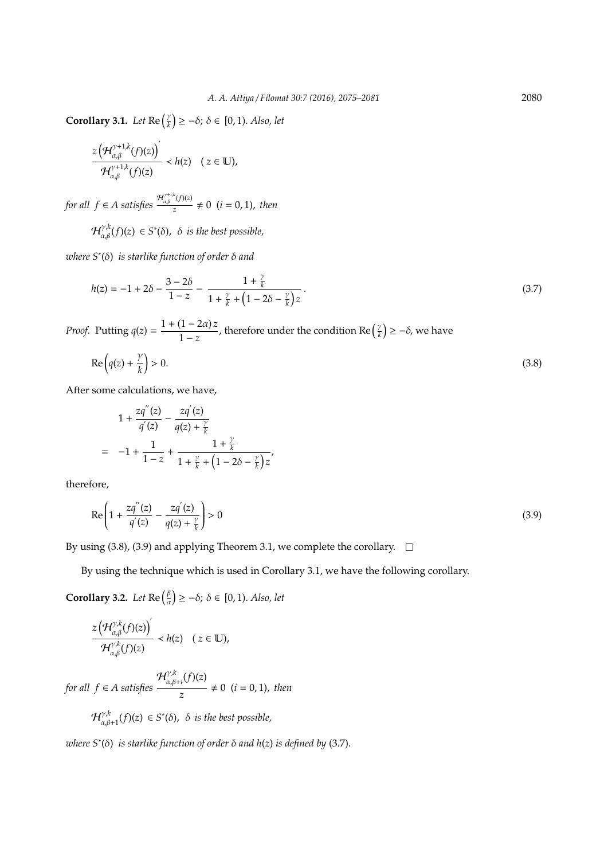**Corollary 3.1.** *Let*  $\text{Re}\left(\frac{\gamma}{k}\right)$  $(\frac{\gamma}{k}) \geq -\delta$ ;  $\delta \in [0, 1)$ . *Also*, let

$$
\frac{z\left(\mathcal{H}_{\alpha,\beta}^{\gamma+1,k}(f)(z)\right)^{'}}{\mathcal{H}_{\alpha,\beta}^{\gamma+1,k}(f)(z)} \prec h(z) \quad (z \in \mathbb{U}),
$$

*for all*  $f \in A$  *satisfies*  $\frac{\mathcal{H}_{\alpha,\beta}^{\gamma+i,k}(f)(z)}{z}$  $\frac{f(t)}{z} \neq 0$  (*i* = 0, 1), *then* 

 $\mathcal{H}_{\alpha,\beta}^{\gamma,k}(f)(z)\,\in S^*(\delta)$ ,  $\,\delta\,$  is the best possible,

*where S*<sup>∗</sup> (δ) *is starlike function of order* δ *and*

$$
h(z) = -1 + 2\delta - \frac{3 - 2\delta}{1 - z} - \frac{1 + \frac{\gamma}{k}}{1 + \frac{\gamma}{k} + \left(1 - 2\delta - \frac{\gamma}{k}\right)z}.
$$
\n(3.7)

*Proof.* Putting  $q(z) = \frac{1 + (1 - 2\alpha)z}{1-z}$  $\frac{(1-2\alpha)z}{1-z}$ , therefore under the condition Re  $\left(\frac{y}{k}\right)$  $\left(\frac{\gamma}{k}\right) \geq -\delta$ , we have

$$
\operatorname{Re}\left(q(z) + \frac{\gamma}{k}\right) > 0. \tag{3.8}
$$

After some calculations, we have,

$$
1 + \frac{zq''(z)}{q'(z)} - \frac{zq'(z)}{q(z) + \frac{\gamma}{k}}
$$
  
= -1 +  $\frac{1}{1-z}$  +  $\frac{1 + \frac{\gamma}{k}}{1 + \frac{\gamma}{k} + (1 - 2\delta - \frac{\gamma}{k})z'}$ 

therefore,

$$
\operatorname{Re}\left(1 + \frac{zq''(z)}{q'(z)} - \frac{zq'(z)}{q(z) + \frac{\gamma}{k}}\right) > 0\tag{3.9}
$$

By using (3.8), (3.9) and applying Theorem 3.1, we complete the corollary.  $\square$ 

By using the technique which is used in Corollary 3.1, we have the following corollary.

**Corollary 3.2.** *Let*  $\text{Re}\left(\frac{\beta}{a}\right)$  $(\frac{\beta}{\alpha}) \geq -\delta$ ;  $\delta \in [0, 1)$ . *Also*, let

$$
\frac{z\left(\mathcal{H}_{\alpha,\beta}^{\gamma,k}(f)(z)\right)^{'}}{\mathcal{H}_{\alpha,\beta}^{\gamma,k}(f)(z)} \prec h(z) \quad (z \in \mathbb{U}),
$$

*for all f* ∈ *A satisfies*  $\mathcal{H}^{\gamma, k}$  $\alpha, \beta+i(f)(z)$  $\frac{1}{z} \neq 0$  (*i* = 0, 1), *then* 

> $\mathcal{H}^{\gamma, k}$  $\alpha, \beta+1$ (*f*)(*z*)  $\in$  *S*<sup>\*</sup>( $\delta$ ),  $\delta$  *is the best possible,*

*where S*<sup>∗</sup> (δ) *is starlike function of order* δ *and h*(*z*) *is defined by* (3.7)*.*